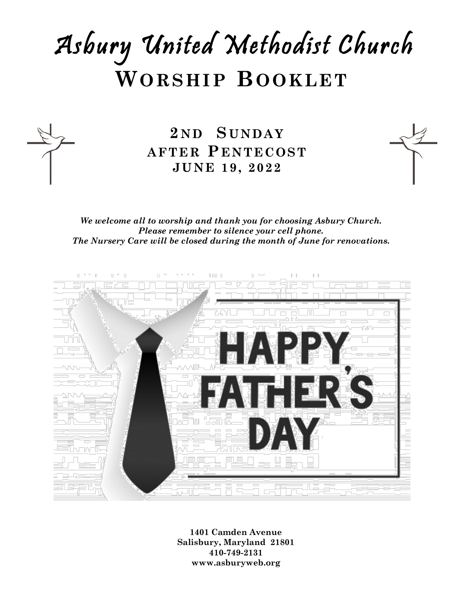# Asbury United Methodist Church **WORSHIP B OOKLET**

**2 ND S UNDAY AFTER PENTECOST JUNE 19, 2022** 

*We welcome all to worship and thank you for choosing Asbury Church. Please remember to silence your cell phone. The Nursery Care will be closed during the month of June for renovations.*



**1401 Camden Avenue Salisbury, Maryland 21801 410-749-2131 www.asburyweb.org**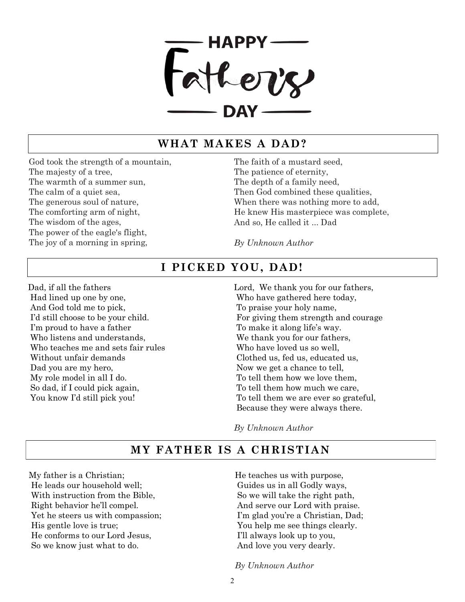

#### **WHAT MAKES A DAD?**

God took the strength of a mountain, The majesty of a tree, The warmth of a summer sun, The calm of a quiet sea, The generous soul of nature, The comforting arm of night, The wisdom of the ages, The power of the eagle's flight, The joy of a morning in spring,

The faith of a mustard seed, The patience of eternity, The depth of a family need, Then God combined these qualities, When there was nothing more to add, He knew His masterpiece was complete, And so, He called it ... Dad

*By Unknown Author*

#### **I PICKED YOU, DAD!**

Dad, if all the fathers Had lined up one by one, And God told me to pick, I'd still choose to be your child. I'm proud to have a father Who listens and understands, Who teaches me and sets fair rules Without unfair demands Dad you are my hero, My role model in all I do. So dad, if I could pick again, You know I'd still pick you!

Lord, We thank you for our fathers, Who have gathered here today, To praise your holy name, For giving them strength and courage To make it along life's way. We thank you for our fathers, Who have loved us so well, Clothed us, fed us, educated us, Now we get a chance to tell, To tell them how we love them, To tell them how much we care, To tell them we are ever so grateful, Because they were always there.

*By Unknown Author*

#### **MY FATHER IS A CHRISTIAN**

My father is a Christian; He leads our household well; With instruction from the Bible, Right behavior he'll compel. Yet he steers us with compassion; His gentle love is true; He conforms to our Lord Jesus, So we know just what to do.

He teaches us with purpose, Guides us in all Godly ways, So we will take the right path, And serve our Lord with praise. I'm glad you're a Christian, Dad; You help me see things clearly. I'll always look up to you, And love you very dearly.

*By Unknown Author*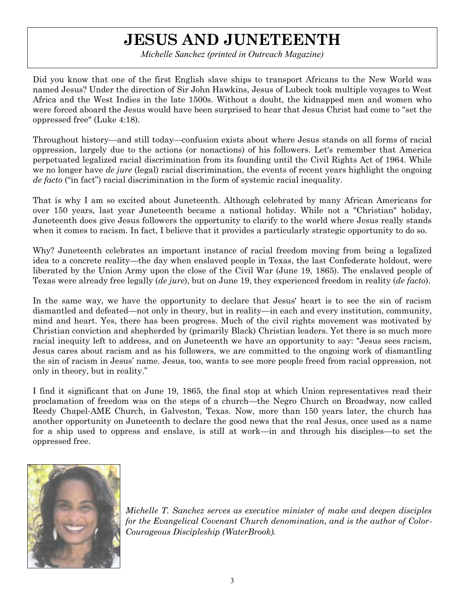### **JESUS AND JUNETEENTH**

*Michelle Sanchez (printed in Outreach Magazine)*

Did you know that one of the first English slave ships to transport Africans to the New World was named Jesus? Under the direction of Sir John Hawkins, Jesus of Lubeck took multiple voyages to West Africa and the West Indies in the late 1500s. Without a doubt, the kidnapped men and women who were forced aboard the Jesus would have been surprised to hear that Jesus Christ had come to "set the oppressed free" (Luke 4:18).

Throughout history—and still today—confusion exists about where Jesus stands on all forms of racial oppression, largely due to the actions (or nonactions) of his followers. Let's remember that America perpetuated legalized racial discrimination from its founding until the Civil Rights Act of 1964. While we no longer have *de jure* (legal) racial discrimination, the events of recent years highlight the ongoing *de facto* ("in fact") racial discrimination in the form of systemic racial inequality.

That is why I am so excited about Juneteenth. Although celebrated by many African Americans for over 150 years, last year Juneteenth became a national holiday. While not a "Christian" holiday, Juneteenth does give Jesus followers the opportunity to clarify to the world where Jesus really stands when it comes to racism. In fact, I believe that it provides a particularly strategic opportunity to do so.

Why? Juneteenth celebrates an important instance of racial freedom moving from being a legalized idea to a concrete reality—the day when enslaved people in Texas, the last Confederate holdout, were liberated by the Union Army upon the close of the Civil War (June 19, 1865). The enslaved people of Texas were already free legally (*de jure*), but on June 19, they experienced freedom in reality (*de facto*).

In the same way, we have the opportunity to declare that Jesus' heart is to see the sin of racism dismantled and defeated—not only in theory, but in reality—in each and every institution, community, mind and heart. Yes, there has been progress. Much of the civil rights movement was motivated by Christian conviction and shepherded by (primarily Black) Christian leaders. Yet there is so much more racial inequity left to address, and on Juneteenth we have an opportunity to say: "Jesus sees racism, Jesus cares about racism and as his followers, we are committed to the ongoing work of dismantling the sin of racism in Jesus' name. Jesus, too, wants to see more people freed from racial oppression, not only in theory, but in reality."

I find it significant that on June 19, 1865, the final stop at which Union representatives read their proclamation of freedom was on the steps of a church—the Negro Church on Broadway, now called Reedy Chapel-AME Church, in Galveston, Texas. Now, more than 150 years later, the church has another opportunity on Juneteenth to declare the good news that the real Jesus, once used as a name for a ship used to oppress and enslave, is still at work—in and through his disciples—to set the oppressed free.



*Michelle T. Sanchez serves as executive minister of make and deepen disciples for the Evangelical Covenant Church denomination, and is the author of Color-Courageous Discipleship (WaterBrook).*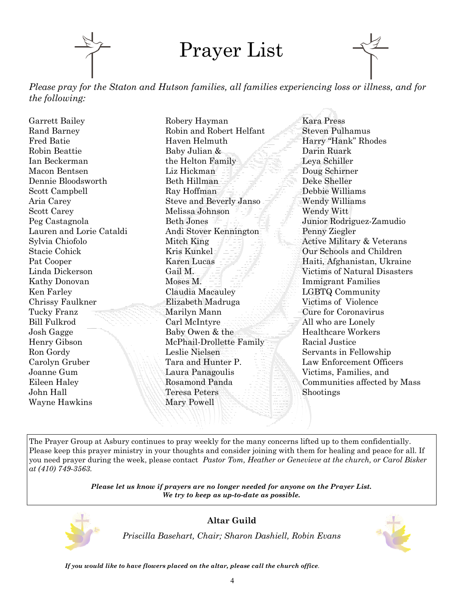

## Prayer List



*Please pray for the Staton and Hutson families, all families experiencing loss or illness, and for the following:*

Garrett Bailey Rand Barney Fred Batie Robin Beattie Ian Beckerman Macon Bentsen Dennie Bloodsworth Scott Campbell Aria Carey Scott Carey Peg Castagnola Lauren and Lorie Cataldi Sylvia Chiofolo Stacie Cohick Pat Cooper Linda Dickerson Kathy Donovan Ken Farley Chrissy Faulkner Tucky Franz Bill Fulkrod Josh Gagge Henry Gibson Ron Gordy Carolyn Gruber Joanne Gum Eileen Haley John Hall

Wayne Hawkins

Robery Hayman Robin and Robert Helfant Haven Helmuth Baby Julian & the Helton Family Liz Hickman Beth Hillman Ray Hoffman Steve and Beverly Janso Melissa Johnson Beth Jones Andi Stover Kennington Mitch King Kris Kunkel Karen Lucas Gail M. Moses M. Claudia Macauley Elizabeth Madruga Marilyn Mann Carl McIntyre Baby Owen & the McPhail-Drollette Family Leslie Nielsen Tara and Hunter P. Laura Panagoulis Rosamond Panda Teresa Peters Mary Powell

Kara Press Steven Pulhamus Harry "Hank" Rhodes Darin Ruark Leya Schiller Doug Schirner Deke Sheller Debbie Williams Wendy Williams Wendy Witt Junior Rodriguez-Zamudio Penny Ziegler Active Military & Veterans Our Schools and Children Haiti, Afghanistan, Ukraine Victims of Natural Disasters Immigrant Families LGBTQ Community Victims of Violence Cure for Coronavirus All who are Lonely Healthcare Workers Racial Justice Servants in Fellowship Law Enforcement Officers Victims, Families, and Communities affected by Mass Shootings

The Prayer Group at Asbury continues to pray weekly for the many concerns lifted up to them confidentially. Please keep this prayer ministry in your thoughts and consider joining with them for healing and peace for all. If you need prayer during the week, please contact *Pastor Tom, Heather or Genevieve at the church, or Carol Bisker at (410) 749-3563.*

> *Please let us know if prayers are no longer needed for anyone on the Prayer List. We try to keep as up-to-date as possible.*



**Altar Guild**

*Priscilla Basehart, Chair; Sharon Dashiell, Robin Evans*



*If you would like to have flowers placed on the altar, please call the church office.*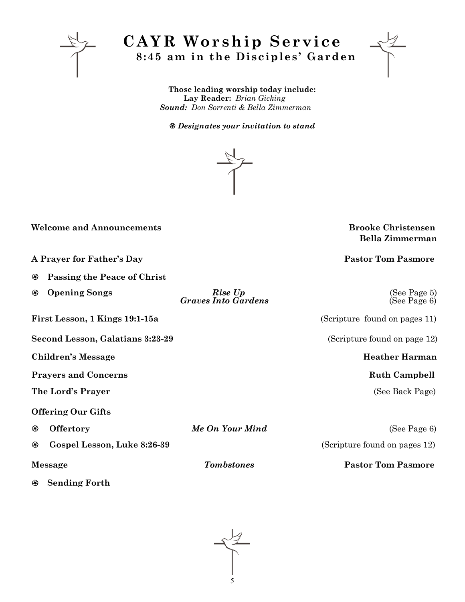

### **CAYR Worship Service 8:45 am in the Disciples' Garden**



 **Those leading worship today include: Lay Reader:** *Brian Gicking Sound: Don Sorrenti & Bella Zimmerman*

*Designates your invitation to stand*



**Welcome and Announcements Brooke Christensen**

**A Prayer for Father's Day Pastor Tom Pasmore**

**Passing the Peace of Christ** 

 **Opening Songs** *Rise Up* (See Page 5)  *Graves Into Gardens* (See Page 6)

**First Lesson, 1 Kings 19:1-15a** (Scripture found on pages 11)

**Second Lesson, Galatians 3:23-29** (Scripture found on page 12)

**Children's Message** Manual Research Manual Research of the Harman Heather Harman

**Prayers and Concerns Ruth Campbell** 

**The Lord's Prayer Constanting Constanting Constanting Constanting Constanting Constanting Constanting Constanting Constanting Constanting Constanting Constanting Constanting Constanting Constanting Constanting Constanti** 

**Offering Our Gifts** 

 **Offertory** *Me On Your Mind* (See Page 6)

 **Gospel Lesson, Luke 8:26-39** (Scripture found on pages 12)

**Message** *Tombstones* **Pastor Tom Pasmore**

**Bella Zimmerman**

**Sending Forth**

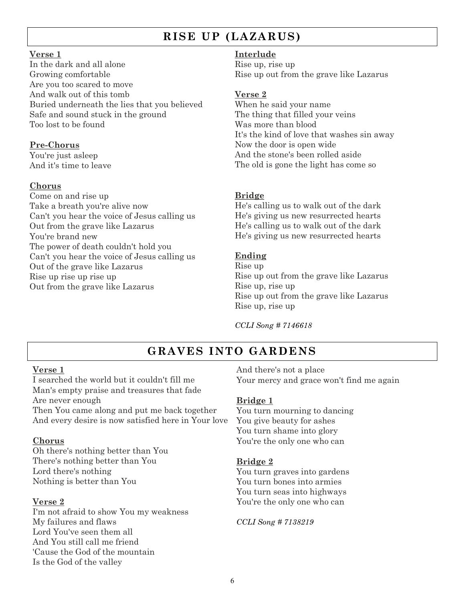### **RISE UP (LAZARUS)**

#### **Verse 1**

In the dark and all alone Growing comfortable Are you too scared to move And walk out of this tomb Buried underneath the lies that you believed Safe and sound stuck in the ground Too lost to be found

#### **Pre-Chorus**

You're just asleep And it's time to leave

#### **Chorus**

Come on and rise up Take a breath you're alive now Can't you hear the voice of Jesus calling us Out from the grave like Lazarus You're brand new The power of death couldn't hold you Can't you hear the voice of Jesus calling us Out of the grave like Lazarus Rise up rise up rise up Out from the grave like Lazarus

#### **Interlude**

Rise up, rise up Rise up out from the grave like Lazarus

#### **Verse 2**

When he said your name The thing that filled your veins Was more than blood It's the kind of love that washes sin away Now the door is open wide And the stone's been rolled aside The old is gone the light has come so

#### **Bridge**

He's calling us to walk out of the dark He's giving us new resurrected hearts He's calling us to walk out of the dark He's giving us new resurrected hearts

#### **Ending**

Rise up Rise up out from the grave like Lazarus Rise up, rise up Rise up out from the grave like Lazarus Rise up, rise up

*CCLI Song # 7146618* 

#### **GRAVES INTO GARDENS**

#### **Verse 1**

I searched the world but it couldn't fill me Man's empty praise and treasures that fade Are never enough Then You came along and put me back together And every desire is now satisfied here in Your love

#### **Chorus**

Oh there's nothing better than You There's nothing better than You Lord there's nothing Nothing is better than You

#### **Verse 2**

I'm not afraid to show You my weakness My failures and flaws Lord You've seen them all And You still call me friend 'Cause the God of the mountain Is the God of the valley

And there's not a place Your mercy and grace won't find me again

#### **Bridge 1**

You turn mourning to dancing You give beauty for ashes You turn shame into glory You're the only one who can

#### **Bridge 2**

You turn graves into gardens You turn bones into armies You turn seas into highways You're the only one who can

*CCLI Song # 7138219*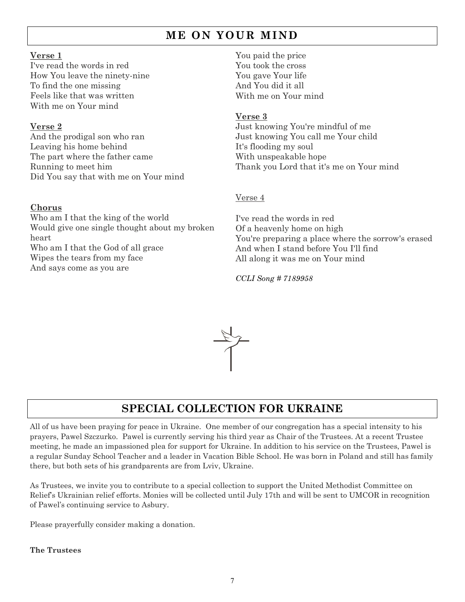#### **ME ON YOUR MIND**

#### **Verse 1**

I've read the words in red How You leave the ninety-nine To find the one missing Feels like that was written With me on Your mind

#### **Verse 2**

And the prodigal son who ran Leaving his home behind The part where the father came Running to meet him Did You say that with me on Your mind

#### **Chorus**

Who am I that the king of the world Would give one single thought about my broken heart Who am I that the God of all grace Wipes the tears from my face And says come as you are

You paid the price You took the cross You gave Your life And You did it all With me on Your mind

#### **Verse 3**

Just knowing You're mindful of me Just knowing You call me Your child It's flooding my soul With unspeakable hope Thank you Lord that it's me on Your mind

#### Verse 4

I've read the words in red Of a heavenly home on high You're preparing a place where the sorrow's erased And when I stand before You I'll find All along it was me on Your mind

*CCLI Song # 7189958* 



#### **SPECIAL COLLECTION FOR UKRAINE**

All of us have been praying for peace in Ukraine. One member of our congregation has a special intensity to his prayers, Pawel Szczurko. Pawel is currently serving his third year as Chair of the Trustees. At a recent Trustee meeting, he made an impassioned plea for support for Ukraine. In addition to his service on the Trustees, Pawel is a regular Sunday School Teacher and a leader in Vacation Bible School. He was born in Poland and still has family there, but both sets of his grandparents are from Lviv, Ukraine.

As Trustees, we invite you to contribute to a special collection to support the United Methodist Committee on Relief's Ukrainian relief efforts. Monies will be collected until July 17th and will be sent to UMCOR in recognition of Pawel's continuing service to Asbury.

Please prayerfully consider making a donation.

#### **The Trustees**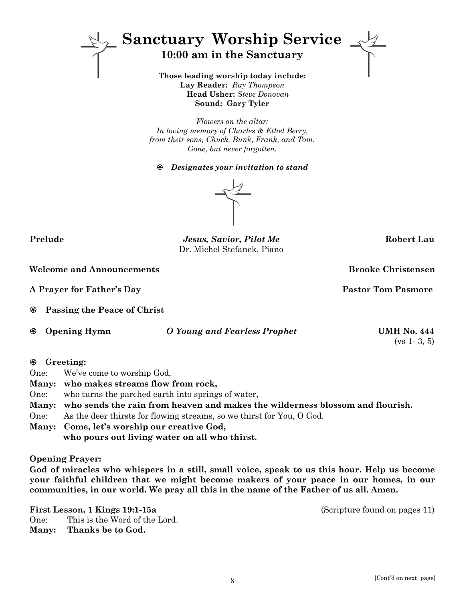[Cont'd on next page]

(vs 1- 3, 5)

**Welcome and Announcements Brooke Christensen** 

**A Prayer for Father's Day Pastor Tom Pasmore**

**Passing the Peace of Christ**

**Opening Hymn** *O Young and Fearless Prophet* **UMH No. 444**

 **Greeting:** 

One: We've come to worship God,

#### **Many: who makes streams flow from rock,**

- One: who turns the parched earth into springs of water,
- **Many: who sends the rain from heaven and makes the wilderness blossom and flourish.**
- One: As the deer thirsts for flowing streams, so we thirst for You, O God.

**Many: Come, let's worship our creative God, who pours out living water on all who thirst.**

**Opening Prayer:**

**God of miracles who whispers in a still, small voice, speak to us this hour. Help us become your faithful children that we might become makers of your peace in our homes, in our communities, in our world. We pray all this in the name of the Father of us all. Amen.**

**First Lesson, 1 Kings 19:1-15a** (Scripture found on pages 11) One: This is the Word of the Lord. **Many: Thanks be to God.** 

Dr. Michel Stefanek, Piano

*Flowers on the altar: In loving memory of Charles & Ethel Berry, from their sons, Chuck, Bunk, Frank, and Tom. Gone, but never forgotten.*

*Designates your invitation to stand*

 $\frac{1}{\sqrt{2}}$ 

### **Sanctuary Worship Service 10:00 am in the Sanctuary**

**Those leading worship today include: Lay Reader:** *Ray Thompson*  **Head Usher:** *Steve Donovan* **Sound: Gary Tyler**

**Prelude** *Jesus, Savior, Pilot Me* **Robert Lau**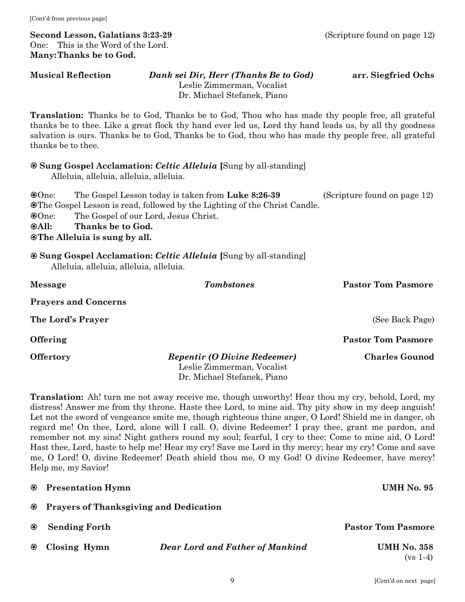**Second Lesson, Galatians 3:23-29** (Scripture found on page 12) One: This is the Word of the Lord. **Many:Thanks be to God.** 

**Musical Reflection** *Dank sei Dir, Herr (Thanks Be to God)* **arr. Siegfried Ochs** Leslie Zimmerman, Vocalist Dr. Michael Stefanek, Piano

**Translation:** Thanks be to God, Thanks be to God, Thou who has made thy people free, all grateful thanks be to thee. Like a great flock thy hand ever led us, Lord thy hand leads us, by all thy goodness salvation is ours. Thanks be to God, Thanks be to God, thou who has made thy people free, all grateful thanks be to thee.

**Sung Gospel Acclamation:** *Celtic Alleluia* **[**Sung by all-standing]

Alleluia, alleluia, alleluia, alleluia.

One: The Gospel Lesson today is taken from **Luke 8:26-39** (Scripture found on page 12) The Gospel Lesson is read, followed by the Lighting of the Christ Candle. One: The Gospel of our Lord, Jesus Christ. **All: Thanks be to God. The Alleluia is sung by all.**

| <b> We Sung Gospel Acclamation: Celtic Alleluia</b> [Sung by all-standing] |  |
|----------------------------------------------------------------------------|--|
| Alleluia, alleluia, alleluia, alleluia.                                    |  |

**Message** *Tombstones* **Pastor Tom Pasmore Prayers and Concerns The Lord's Prayer Constanting the Lord's Prayer** (See Back Page) **Offering Pastor Tom Pasmore Offertory** *Repentir (O Divine Redeemer)* **Charles Gounod** Leslie Zimmerman, Vocalist Dr. Michael Stefanek, Piano

**Translation:** Ah! turn me not away receive me, though unworthy! Hear thou my cry, behold, Lord, my distress! Answer me from thy throne. Haste thee Lord, to mine aid. Thy pity show in my deep anguish! Let not the sword of vengeance smite me, though righteous thine anger, O Lord! Shield me in danger, oh regard me! On thee, Lord, alone will I call. O, divine Redeemer! I pray thee, grant me pardon, and remember not my sins! Night gathers round my soul; fearful, I cry to thee; Come to mine aid, O Lord! Hast thee, Lord, haste to help me! Hear my cry! Save me Lord in thy mercy; hear my cry! Come and save me, O Lord! O, divine Redeemer! Death shield thou me, O my God! O divine Redeemer, have mercy! Help me, my Savior!

| <b> <b> We Presentation Hymn</b></b>                    | <b>UMH No. 95</b> |
|---------------------------------------------------------|-------------------|
| <b>Example 3</b> Prayers of Thanksgiving and Dedication |                   |

- **Sending Forth Pastor Tom Pasmore**
- **Closing Hymn** *Dear Lord and Father of Mankind* **UMH No. 358**

 $(vs 1-4)$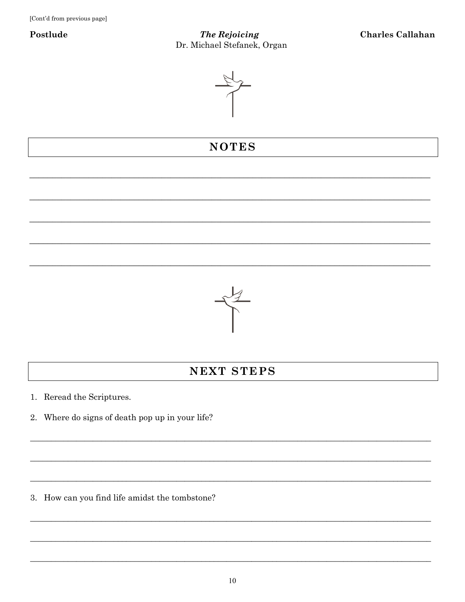#### Postlude

#### The Rejoicing Dr. Michael Stefanek, Organ



#### **NOTES**



#### **NEXT STEPS**

- 1. Reread the Scriptures.
- 2. Where do signs of death pop up in your life?

3. How can you find life amidst the tombstone?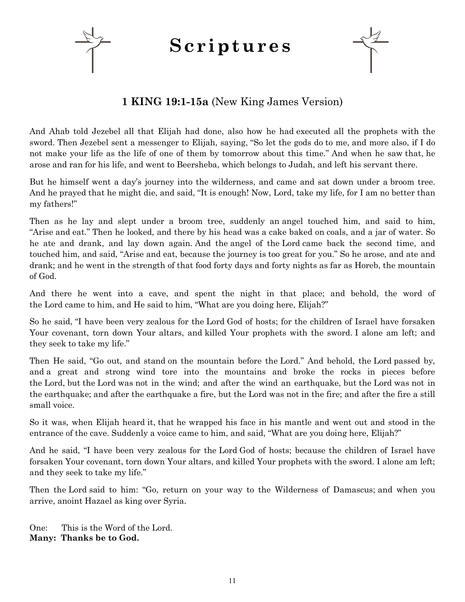**Scriptures**





#### **1 KING 19:1-15a** (New King James Version)

And Ahab told Jezebel all that Elijah had done, also how he had executed all the prophets with the sword. Then Jezebel sent a messenger to Elijah, saying, "So let the gods do to me, and more also, if I do not make your life as the life of one of them by tomorrow about this time." And when he saw that, he arose and ran for his life, and went to Beersheba, which belongs to Judah, and left his servant there.

But he himself went a day's journey into the wilderness, and came and sat down under a broom tree. And he prayed that he might die, and said, "It is enough! Now, Lord, take my life, for I am no better than my fathers!"

Then as he lay and slept under a broom tree, suddenly an angel touched him, and said to him, "Arise and eat." Then he looked, and there by his head was a cake baked on coals, and a jar of water. So he ate and drank, and lay down again. And the angel of the Lord came back the second time, and touched him, and said, "Arise and eat, because the journey is too great for you." So he arose, and ate and drank; and he went in the strength of that food forty days and forty nights as far as Horeb, the mountain of God.

And there he went into a cave, and spent the night in that place; and behold, the word of the Lord came to him, and He said to him, "What are you doing here, Elijah?"

So he said, "I have been very zealous for the Lord God of hosts; for the children of Israel have forsaken Your covenant, torn down Your altars, and killed Your prophets with the sword. I alone am left; and they seek to take my life."

Then He said, "Go out, and stand on the mountain before the Lord." And behold, the Lord passed by, and a great and strong wind tore into the mountains and broke the rocks in pieces before the Lord, but the Lord was not in the wind; and after the wind an earthquake, but the Lord was not in the earthquake; and after the earthquake a fire, but the Lord was not in the fire; and after the fire a still small voice.

So it was, when Elijah heard it, that he wrapped his face in his mantle and went out and stood in the entrance of the cave. Suddenly a voice came to him, and said, "What are you doing here, Elijah?"

And he said, "I have been very zealous for the Lord God of hosts; because the children of Israel have forsaken Your covenant, torn down Your altars, and killed Your prophets with the sword. I alone am left; and they seek to take my life."

Then the Lord said to him: "Go, return on your way to the Wilderness of Damascus; and when you arrive, anoint Hazael as king over Syria.

One: This is the Word of the Lord. **Many: Thanks be to God.**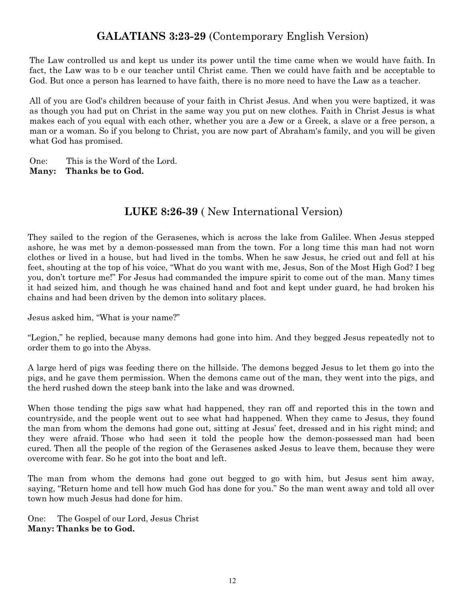#### **GALATIANS 3:23-29** (Contemporary English Version)

The Law controlled us and kept us under its power until the time came when we would have faith. In fact, the Law was to b e our teacher until Christ came. Then we could have faith and be acceptable to God. But once a person has learned to have faith, there is no more need to have the Law as a teacher.

All of you are God's children because of your faith in Christ Jesus. And when you were baptized, it was as though you had put on Christ in the same way you put on new clothes. Faith in Christ Jesus is what makes each of you equal with each other, whether you are a Jew or a Greek, a slave or a free person, a man or a woman. So if you belong to Christ, you are now part of Abraham's family, and you will be given what God has promised.

One: This is the Word of the Lord. **Many: Thanks be to God.**

#### **LUKE 8:26-39** ( New International Version)

They sailed to the region of the Gerasenes, which is across the lake from Galilee. When Jesus stepped ashore, he was met by a demon-possessed man from the town. For a long time this man had not worn clothes or lived in a house, but had lived in the tombs. When he saw Jesus, he cried out and fell at his feet, shouting at the top of his voice, "What do you want with me, Jesus, Son of the Most High God? I beg you, don't torture me!" For Jesus had commanded the impure spirit to come out of the man. Many times it had seized him, and though he was chained hand and foot and kept under guard, he had broken his chains and had been driven by the demon into solitary places.

Jesus asked him, "What is your name?"

"Legion," he replied, because many demons had gone into him. And they begged Jesus repeatedly not to order them to go into the Abyss.

A large herd of pigs was feeding there on the hillside. The demons begged Jesus to let them go into the pigs, and he gave them permission. When the demons came out of the man, they went into the pigs, and the herd rushed down the steep bank into the lake and was drowned.

When those tending the pigs saw what had happened, they ran off and reported this in the town and countryside, and the people went out to see what had happened. When they came to Jesus, they found the man from whom the demons had gone out, sitting at Jesus' feet, dressed and in his right mind; and they were afraid. Those who had seen it told the people how the demon-possessed man had been cured. Then all the people of the region of the Gerasenes asked Jesus to leave them, because they were overcome with fear. So he got into the boat and left.

The man from whom the demons had gone out begged to go with him, but Jesus sent him away, saying, "Return home and tell how much God has done for you." So the man went away and told all over town how much Jesus had done for him.

One: The Gospel of our Lord, Jesus Christ **Many: Thanks be to God.**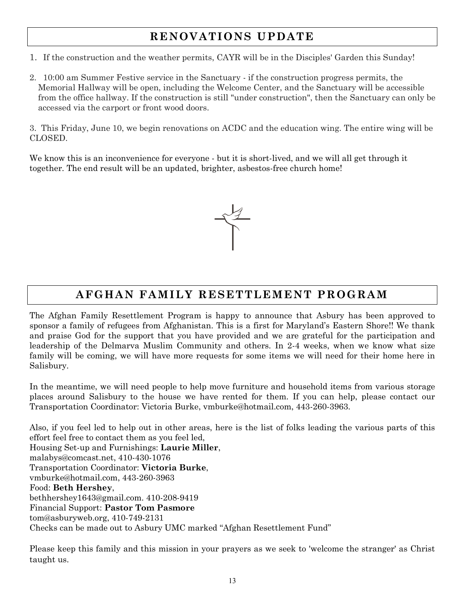### **RENOVATIONS UPDATE**

- 1. If the construction and the weather permits, CAYR will be in the Disciples' Garden this Sunday!
- 2. 10:00 am Summer Festive service in the Sanctuary if the construction progress permits, the Memorial Hallway will be open, including the Welcome Center, and the Sanctuary will be accessible from the office hallway. If the construction is still "under construction", then the Sanctuary can only be accessed via the carport or front wood doors.

3. This Friday, June 10, we begin renovations on ACDC and the education wing. The entire wing will be CLOSED.

We know this is an inconvenience for everyone - but it is short-lived, and we will all get through it together. The end result will be an updated, brighter, asbestos-free church home!



#### **AFGHAN FAMILY RESETTLEMENT PROGRAM**

The Afghan Family Resettlement Program is happy to announce that Asbury has been approved to sponsor a family of refugees from Afghanistan. This is a first for Maryland's Eastern Shore!! We thank and praise God for the support that you have provided and we are grateful for the participation and leadership of the Delmarva Muslim Community and others. In 2-4 weeks, when we know what size family will be coming, we will have more requests for some items we will need for their home here in Salisbury.

In the meantime, we will need people to help move furniture and household items from various storage places around Salisbury to the house we have rented for them. If you can help, please contact our Transportation Coordinator: Victoria Burke, vmburke@hotmail.com, 443-260-3963.

Also, if you feel led to help out in other areas, here is the list of folks leading the various parts of this effort feel free to contact them as you feel led, Housing Set-up and Furnishings: **Laurie Miller**, malabys@comcast.net, 410-430-1076 Transportation Coordinator: **Victoria Burke**, vmburke@hotmail.com, 443-260-3963 Food: **Beth Hershey**, bethhershey1643@gmail.com. 410-208-9419 Financial Support: **Pastor Tom Pasmore** tom@asburyweb.org, 410-749-2131 Checks can be made out to Asbury UMC marked "Afghan Resettlement Fund"

Please keep this family and this mission in your prayers as we seek to 'welcome the stranger' as Christ taught us.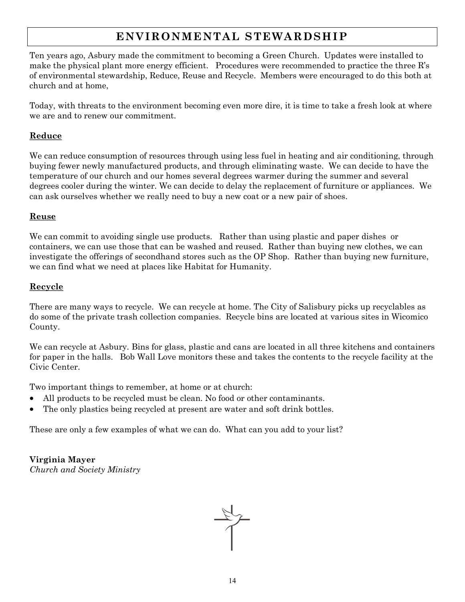### **ENVIRONMENTAL STEWARDSHIP**

Ten years ago, Asbury made the commitment to becoming a Green Church. Updates were installed to make the physical plant more energy efficient. Procedures were recommended to practice the three R's of environmental stewardship, Reduce, Reuse and Recycle. Members were encouraged to do this both at church and at home,

Today, with threats to the environment becoming even more dire, it is time to take a fresh look at where we are and to renew our commitment.

#### **Reduce**

We can reduce consumption of resources through using less fuel in heating and air conditioning, through buying fewer newly manufactured products, and through eliminating waste. We can decide to have the temperature of our church and our homes several degrees warmer during the summer and several degrees cooler during the winter. We can decide to delay the replacement of furniture or appliances. We can ask ourselves whether we really need to buy a new coat or a new pair of shoes.

#### **Reuse**

We can commit to avoiding single use products. Rather than using plastic and paper dishes or containers, we can use those that can be washed and reused. Rather than buying new clothes, we can investigate the offerings of secondhand stores such as the OP Shop. Rather than buying new furniture, we can find what we need at places like Habitat for Humanity.

#### **Recycle**

There are many ways to recycle. We can recycle at home. The City of Salisbury picks up recyclables as do some of the private trash collection companies. Recycle bins are located at various sites in Wicomico County.

We can recycle at Asbury. Bins for glass, plastic and cans are located in all three kitchens and containers for paper in the halls. Bob Wall Love monitors these and takes the contents to the recycle facility at the Civic Center.

Two important things to remember, at home or at church:

- All products to be recycled must be clean. No food or other contaminants.
- The only plastics being recycled at present are water and soft drink bottles.

These are only a few examples of what we can do. What can you add to your list?

#### **Virginia Mayer**

*Church and Society Ministry*

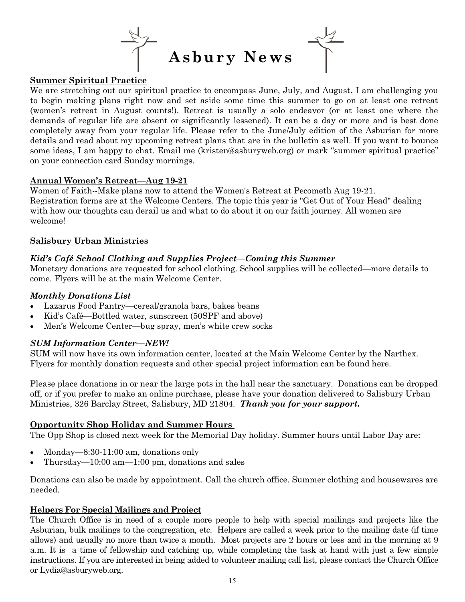

#### **Summer Spiritual Practice**

We are stretching out our spiritual practice to encompass June, July, and August. I am challenging you to begin making plans right now and set aside some time this summer to go on at least one retreat (women's retreat in August counts!). Retreat is usually a solo endeavor (or at least one where the demands of regular life are absent or significantly lessened). It can be a day or more and is best done completely away from your regular life. Please refer to the June/July edition of the Asburian for more details and read about my upcoming retreat plans that are in the bulletin as well. If you want to bounce some ideas, I am happy to chat. Email me (kristen@asburyweb.org) or mark "summer spiritual practice" on your connection card Sunday mornings.

#### **Annual Women's Retreat—Aug 19-21**

Women of Faith--Make plans now to attend the Women's Retreat at Pecometh Aug 19-21. Registration forms are at the Welcome Centers. The topic this year is "Get Out of Your Head" dealing with how our thoughts can derail us and what to do about it on our faith journey. All women are welcome!

#### **Salisbury Urban Ministries**

#### *Kid's Café School Clothing and Supplies Project—Coming this Summer*

Monetary donations are requested for school clothing. School supplies will be collected—more details to come. Flyers will be at the main Welcome Center.

#### *Monthly Donations List*

- Lazarus Food Pantry—cereal/granola bars, bakes beans
- Kid's Café—Bottled water, sunscreen (50SPF and above)
- Men's Welcome Center—bug spray, men's white crew socks

#### *SUM Information Center—NEW!*

SUM will now have its own information center, located at the Main Welcome Center by the Narthex. Flyers for monthly donation requests and other special project information can be found here.

Please place donations in or near the large pots in the hall near the sanctuary. Donations can be dropped off, or if you prefer to make an online purchase, please have your donation delivered to Salisbury Urban Ministries, 326 Barclay Street, Salisbury, MD 21804. *Thank you for your support.*

#### **Opportunity Shop Holiday and Summer Hours**

The Opp Shop is closed next week for the Memorial Day holiday. Summer hours until Labor Day are:

- Monday—8:30-11:00 am, donations only
- Thursday—10:00 am—1:00 pm, donations and sales

Donations can also be made by appointment. Call the church office. Summer clothing and housewares are needed.

#### **Helpers For Special Mailings and Project**

The Church Office is in need of a couple more people to help with special mailings and projects like the Asburian, bulk mailings to the congregation, etc. Helpers are called a week prior to the mailing date (if time allows) and usually no more than twice a month. Most projects are 2 hours or less and in the morning at 9 a.m. It is a time of fellowship and catching up, while completing the task at hand with just a few simple instructions. If you are interested in being added to volunteer mailing call list, please contact the Church Office or Lydia@asburyweb.org.